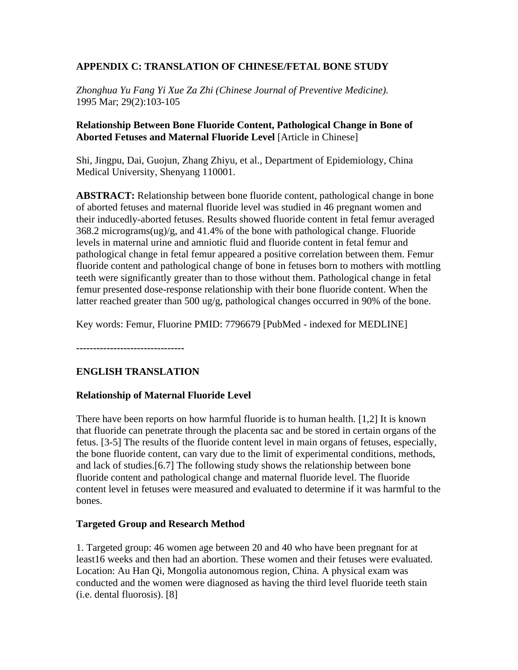# **APPENDIX C: TRANSLATION OF CHINESE/FETAL BONE STUDY**

*Zhonghua Yu Fang Yi Xue Za Zhi (Chinese Journal of Preventive Medicine).* 1995 Mar; 29(2):103-105

### **Relationship Between Bone Fluoride Content, Pathological Change in Bone of Aborted Fetuses and Maternal Fluoride Level** [Article in Chinese]

Shi, Jingpu, Dai, Guojun, Zhang Zhiyu, et al., Department of Epidemiology, China Medical University, Shenyang 110001.

**ABSTRACT:** Relationship between bone fluoride content, pathological change in bone of aborted fetuses and maternal fluoride level was studied in 46 pregnant women and their inducedly-aborted fetuses. Results showed fluoride content in fetal femur averaged 368.2 micrograms(ug)/g, and 41.4% of the bone with pathological change. Fluoride levels in maternal urine and amniotic fluid and fluoride content in fetal femur and pathological change in fetal femur appeared a positive correlation between them. Femur fluoride content and pathological change of bone in fetuses born to mothers with mottling teeth were significantly greater than to those without them. Pathological change in fetal femur presented dose-response relationship with their bone fluoride content. When the latter reached greater than 500 ug/g, pathological changes occurred in 90% of the bone.

Key words: Femur, Fluorine PMID: 7796679 [PubMed - indexed for MEDLINE]

**--------------------------------**

# **ENGLISH TRANSLATION**

#### **Relationship of Maternal Fluoride Level**

There have been reports on how harmful fluoride is to human health. [1,2] It is known that fluoride can penetrate through the placenta sac and be stored in certain organs of the fetus. [3-5] The results of the fluoride content level in main organs of fetuses, especially, the bone fluoride content, can vary due to the limit of experimental conditions, methods, and lack of studies.[6.7] The following study shows the relationship between bone fluoride content and pathological change and maternal fluoride level. The fluoride content level in fetuses were measured and evaluated to determine if it was harmful to the bones.

#### **Targeted Group and Research Method**

1. Targeted group: 46 women age between 20 and 40 who have been pregnant for at least16 weeks and then had an abortion. These women and their fetuses were evaluated. Location: Au Han Qi, Mongolia autonomous region, China. A physical exam was conducted and the women were diagnosed as having the third level fluoride teeth stain (i.e. dental fluorosis). [8]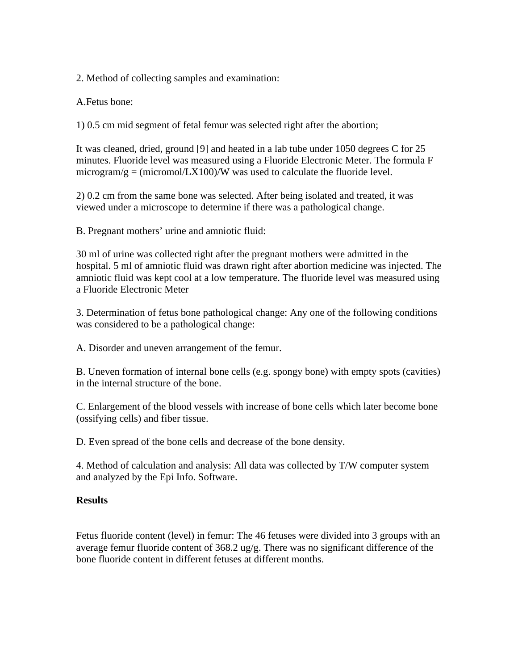2. Method of collecting samples and examination:

A.Fetus bone:

1) 0.5 cm mid segment of fetal femur was selected right after the abortion;

It was cleaned, dried, ground [9] and heated in a lab tube under 1050 degrees C for 25 minutes. Fluoride level was measured using a Fluoride Electronic Meter. The formula F microgram/g = (micromol/LX100)/W was used to calculate the fluoride level.

2) 0.2 cm from the same bone was selected. After being isolated and treated, it was viewed under a microscope to determine if there was a pathological change.

B. Pregnant mothers' urine and amniotic fluid:

30 ml of urine was collected right after the pregnant mothers were admitted in the hospital. 5 ml of amniotic fluid was drawn right after abortion medicine was injected. The amniotic fluid was kept cool at a low temperature. The fluoride level was measured using a Fluoride Electronic Meter

3. Determination of fetus bone pathological change: Any one of the following conditions was considered to be a pathological change:

A. Disorder and uneven arrangement of the femur.

B. Uneven formation of internal bone cells (e.g. spongy bone) with empty spots (cavities) in the internal structure of the bone.

C. Enlargement of the blood vessels with increase of bone cells which later become bone (ossifying cells) and fiber tissue.

D. Even spread of the bone cells and decrease of the bone density.

4. Method of calculation and analysis: All data was collected by T/W computer system and analyzed by the Epi Info. Software.

# **Results**

Fetus fluoride content (level) in femur: The 46 fetuses were divided into 3 groups with an average femur fluoride content of 368.2 ug/g. There was no significant difference of the bone fluoride content in different fetuses at different months.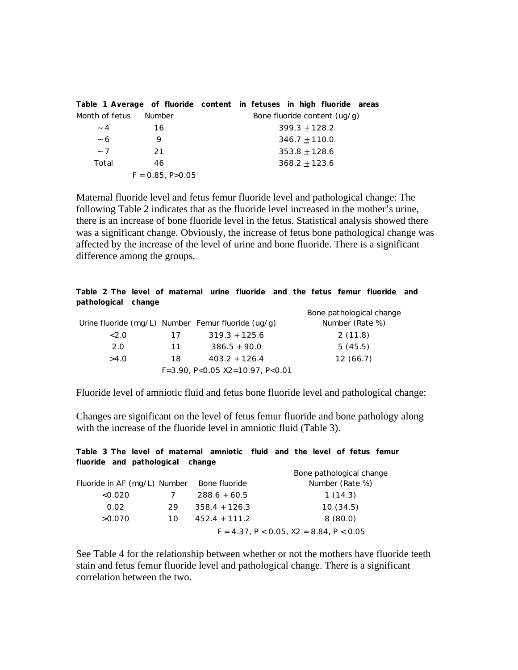| Table 1 Average of fluoride content in fetuses in high fluoride areas |                      |  |                 |                              |  |
|-----------------------------------------------------------------------|----------------------|--|-----------------|------------------------------|--|
| Month of fetus                                                        | Number               |  |                 | Bone fluoride content (ug/g) |  |
| $~\sim~4$                                                             | 16                   |  | $399.3 + 128.2$ |                              |  |
| ~ 6                                                                   | 9                    |  | $346.7 + 110.0$ |                              |  |
| $~\sim$ 7                                                             | 21                   |  | $353.8 + 128.6$ |                              |  |
| Total                                                                 | 46                   |  | $368.2 + 123.6$ |                              |  |
|                                                                       | $F = 0.85, P > 0.05$ |  |                 |                              |  |

Maternal fluoride level and fetus femur fluoride level and pathological change: The following Table 2 indicates that as the fluoride level increased in the mother's urine, there is an increase of bone fluoride level in the fetus. Statistical analysis showed there was a significant change. Obviously, the increase of fetus bone pathological change was affected by the increase of the level of urine and bone fluoride. There is a significant difference among the groups.

|                     |  | Table 2 The level of maternal urine fluoride and the fetus femur fluoride and |  |  |  |  |
|---------------------|--|-------------------------------------------------------------------------------|--|--|--|--|
| pathological change |  |                                                                               |  |  |  |  |

|      |    |                                                    | Bone pathological change |
|------|----|----------------------------------------------------|--------------------------|
|      |    | Urine fluoride (mg/L) Number Femur fluoride (ug/g) | Number (Rate %)          |
| <2.0 | 17 | $319.3 + 125.6$                                    | 2(11.8)                  |
| 2.0  | 11 | $386.5 + 90.0$                                     | 5(45.5)                  |
| >4.0 | 18 | $403.2 + 126.4$                                    | 12(66.7)                 |
|      |    | $F=3.90, P<0.05 X2=10.97, P<0.01$                  |                          |
|      |    |                                                    |                          |

Fluoride level of amniotic fluid and fetus bone fluoride level and pathological change:

Changes are significant on the level of fetus femur fluoride and bone pathology along with the increase of the fluoride level in amniotic fluid (Table 3).

| Table 3 The level of maternal amniotic fluid and the level of fetus femur |    |                 |                                                    |                 |  |
|---------------------------------------------------------------------------|----|-----------------|----------------------------------------------------|-----------------|--|
| fluoride and pathological change                                          |    |                 |                                                    |                 |  |
|                                                                           |    |                 | Bone pathological change                           |                 |  |
| Fluoride in AF (mg/L) Number                                              |    | Bone fluoride   |                                                    | Number (Rate %) |  |
| < 0.020                                                                   | 7  | $288.6 + 60.5$  |                                                    | 1(14.3)         |  |
| 0.02                                                                      | 29 | $358.4 + 126.3$ |                                                    | 10(34.5)        |  |
| >0.070                                                                    | 10 | $452.4 + 111.2$ |                                                    | 8(80.0)         |  |
|                                                                           |    |                 | $F = 4.37$ , $P < 0.05$ , $X2 = 8.84$ , $P < 0.05$ |                 |  |

See Table 4 for the relationship between whether or not the mothers have fluoride teeth stain and fetus femur fluoride level and pathological change. There is a significant correlation between the two.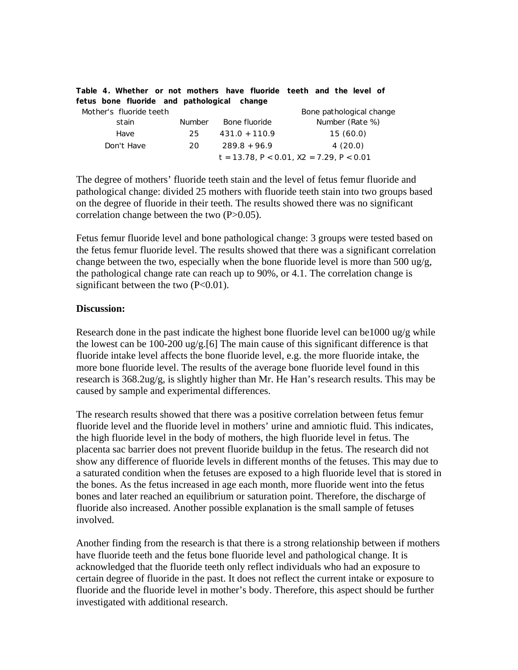| fetus bone fluoride and pathological change |               |                 | Table 4. Whether or not mothers have fluoride teeth and the level of |
|---------------------------------------------|---------------|-----------------|----------------------------------------------------------------------|
| Mother's fluoride teeth                     |               |                 | Bone pathological change                                             |
| stain                                       | <b>Number</b> | Bone fluoride   | Number (Rate %)                                                      |
| Have                                        | 25            | $431.0 + 110.9$ | 15(60.0)                                                             |
| Don't Have                                  | 20            | $289.8 + 96.9$  | 4(20.0)                                                              |
|                                             |               |                 | $t = 13.78$ , $P < 0.01$ , $X2 = 7.29$ , $P < 0.01$                  |

The degree of mothers' fluoride teeth stain and the level of fetus femur fluoride and pathological change: divided 25 mothers with fluoride teeth stain into two groups based on the degree of fluoride in their teeth. The results showed there was no significant correlation change between the two (P>0.05).

Fetus femur fluoride level and bone pathological change: 3 groups were tested based on the fetus femur fluoride level. The results showed that there was a significant correlation change between the two, especially when the bone fluoride level is more than 500 ug/g, the pathological change rate can reach up to 90%, or 4.1. The correlation change is significant between the two  $(P<0.01)$ .

#### **Discussion:**

Research done in the past indicate the highest bone fluoride level can be1000 ug/g while the lowest can be 100-200 ug/g.[6] The main cause of this significant difference is that fluoride intake level affects the bone fluoride level, e.g. the more fluoride intake, the more bone fluoride level. The results of the average bone fluoride level found in this research is 368.2ug/g, is slightly higher than Mr. He Han's research results. This may be caused by sample and experimental differences.

The research results showed that there was a positive correlation between fetus femur fluoride level and the fluoride level in mothers' urine and amniotic fluid. This indicates, the high fluoride level in the body of mothers, the high fluoride level in fetus. The placenta sac barrier does not prevent fluoride buildup in the fetus. The research did not show any difference of fluoride levels in different months of the fetuses. This may due to a saturated condition when the fetuses are exposed to a high fluoride level that is stored in the bones. As the fetus increased in age each month, more fluoride went into the fetus bones and later reached an equilibrium or saturation point. Therefore, the discharge of fluoride also increased. Another possible explanation is the small sample of fetuses involved.

Another finding from the research is that there is a strong relationship between if mothers have fluoride teeth and the fetus bone fluoride level and pathological change. It is acknowledged that the fluoride teeth only reflect individuals who had an exposure to certain degree of fluoride in the past. It does not reflect the current intake or exposure to fluoride and the fluoride level in mother's body. Therefore, this aspect should be further investigated with additional research.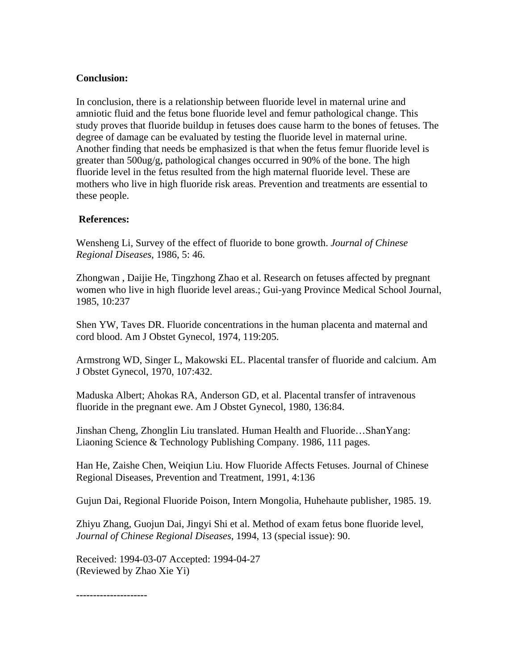## **Conclusion:**

In conclusion, there is a relationship between fluoride level in maternal urine and amniotic fluid and the fetus bone fluoride level and femur pathological change. This study proves that fluoride buildup in fetuses does cause harm to the bones of fetuses. The degree of damage can be evaluated by testing the fluoride level in maternal urine. Another finding that needs be emphasized is that when the fetus femur fluoride level is greater than 500ug/g, pathological changes occurred in 90% of the bone. The high fluoride level in the fetus resulted from the high maternal fluoride level. These are mothers who live in high fluoride risk areas. Prevention and treatments are essential to these people.

## **References:**

Wensheng Li, Survey of the effect of fluoride to bone growth. *Journal of Chinese Regional Diseases,* 1986, 5: 46.

Zhongwan , Daijie He, Tingzhong Zhao et al. Research on fetuses affected by pregnant women who live in high fluoride level areas.; Gui-yang Province Medical School Journal, 1985, 10:237

Shen YW, Taves DR. Fluoride concentrations in the human placenta and maternal and cord blood. Am J Obstet Gynecol, 1974, 119:205.

Armstrong WD, Singer L, Makowski EL. Placental transfer of fluoride and calcium. Am J Obstet Gynecol, 1970, 107:432.

Maduska Albert; Ahokas RA, Anderson GD, et al. Placental transfer of intravenous fluoride in the pregnant ewe. Am J Obstet Gynecol, 1980, 136:84.

Jinshan Cheng, Zhonglin Liu translated. Human Health and Fluoride…ShanYang: Liaoning Science & Technology Publishing Company. 1986, 111 pages.

Han He, Zaishe Chen, Weiqiun Liu. How Fluoride Affects Fetuses. Journal of Chinese Regional Diseases, Prevention and Treatment, 1991, 4:136

Gujun Dai, Regional Fluoride Poison, Intern Mongolia, Huhehaute publisher, 1985. 19.

Zhiyu Zhang, Guojun Dai, Jingyi Shi et al. Method of exam fetus bone fluoride level, *Journal of Chinese Regional Diseases*, 1994, 13 (special issue): 90.

Received: 1994-03-07 Accepted: 1994-04-27 (Reviewed by Zhao Xie Yi)

**---------------------**